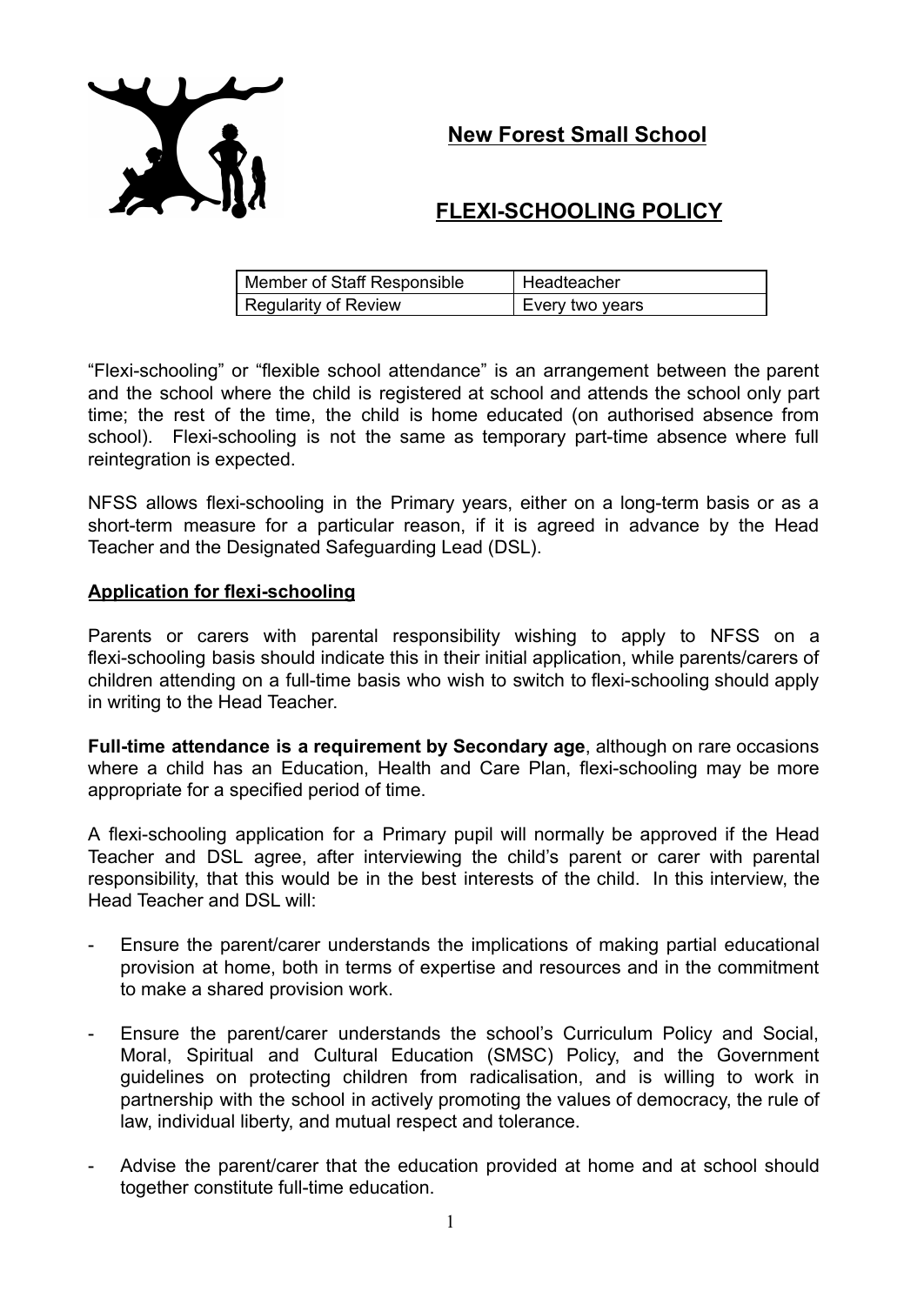**New Forest Small School**



# **FLEXI-SCHOOLING POLICY**

| Member of Staff Responsible | Headteacher     |
|-----------------------------|-----------------|
| <b>Regularity of Review</b> | Every two years |

"Flexi-schooling" or "flexible school attendance" is an arrangement between the parent and the school where the child is registered at school and attends the school only part time; the rest of the time, the child is home educated (on authorised absence from school). Flexi-schooling is not the same as temporary part-time absence where full reintegration is expected.

NFSS allows flexi-schooling in the Primary years, either on a long-term basis or as a short-term measure for a particular reason, if it is agreed in advance by the Head Teacher and the Designated Safeguarding Lead (DSL).

## **Application for flexi-schooling**

Parents or carers with parental responsibility wishing to apply to NFSS on a flexi-schooling basis should indicate this in their initial application, while parents/carers of children attending on a full-time basis who wish to switch to flexi-schooling should apply in writing to the Head Teacher.

**Full-time attendance is a requirement by Secondary age**, although on rare occasions where a child has an Education, Health and Care Plan, flexi-schooling may be more appropriate for a specified period of time.

A flexi-schooling application for a Primary pupil will normally be approved if the Head Teacher and DSL agree, after interviewing the child's parent or carer with parental responsibility, that this would be in the best interests of the child. In this interview, the Head Teacher and DSL will:

- Ensure the parent/carer understands the implications of making partial educational provision at home, both in terms of expertise and resources and in the commitment to make a shared provision work.
- Ensure the parent/carer understands the school's Curriculum Policy and Social, Moral, Spiritual and Cultural Education (SMSC) Policy, and the Government guidelines on protecting children from radicalisation, and is willing to work in partnership with the school in actively promoting the values of democracy, the rule of law, individual liberty, and mutual respect and tolerance.
- Advise the parent/carer that the education provided at home and at school should together constitute full-time education.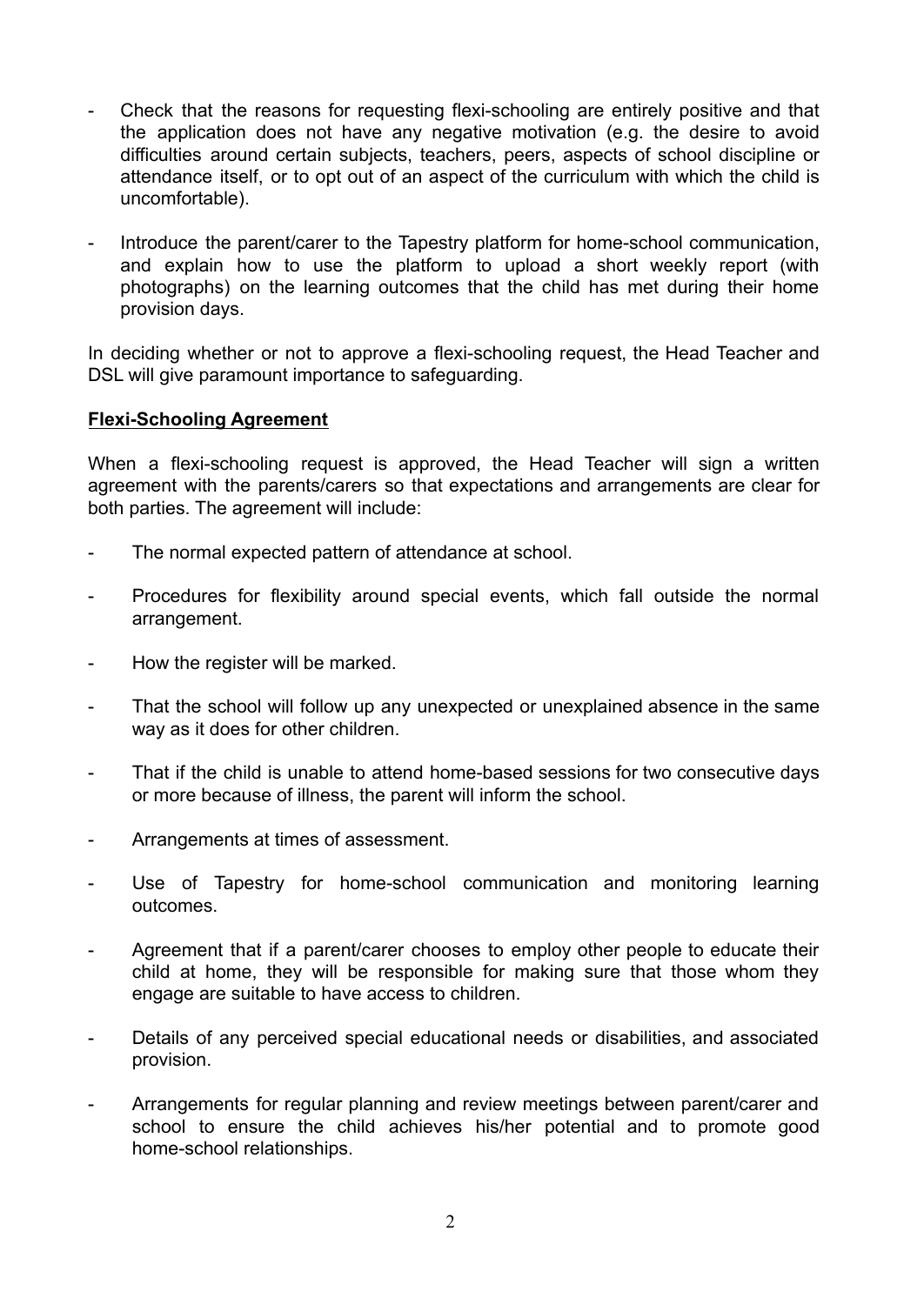- Check that the reasons for requesting flexi-schooling are entirely positive and that the application does not have any negative motivation (e.g. the desire to avoid difficulties around certain subjects, teachers, peers, aspects of school discipline or attendance itself, or to opt out of an aspect of the curriculum with which the child is uncomfortable).
- Introduce the parent/carer to the Tapestry platform for home-school communication, and explain how to use the platform to upload a short weekly report (with photographs) on the learning outcomes that the child has met during their home provision days.

In deciding whether or not to approve a flexi-schooling request, the Head Teacher and DSL will give paramount importance to safeguarding.

### **Flexi-Schooling Agreement**

When a flexi-schooling request is approved, the Head Teacher will sign a written agreement with the parents/carers so that expectations and arrangements are clear for both parties. The agreement will include:

- The normal expected pattern of attendance at school.
- Procedures for flexibility around special events, which fall outside the normal arrangement.
- How the register will be marked.
- That the school will follow up any unexpected or unexplained absence in the same way as it does for other children.
- That if the child is unable to attend home-based sessions for two consecutive days or more because of illness, the parent will inform the school.
- Arrangements at times of assessment.
- Use of Tapestry for home-school communication and monitoring learning outcomes.
- Agreement that if a parent/carer chooses to employ other people to educate their child at home, they will be responsible for making sure that those whom they engage are suitable to have access to children.
- Details of any perceived special educational needs or disabilities, and associated provision.
- Arrangements for regular planning and review meetings between parent/carer and school to ensure the child achieves his/her potential and to promote good home-school relationships.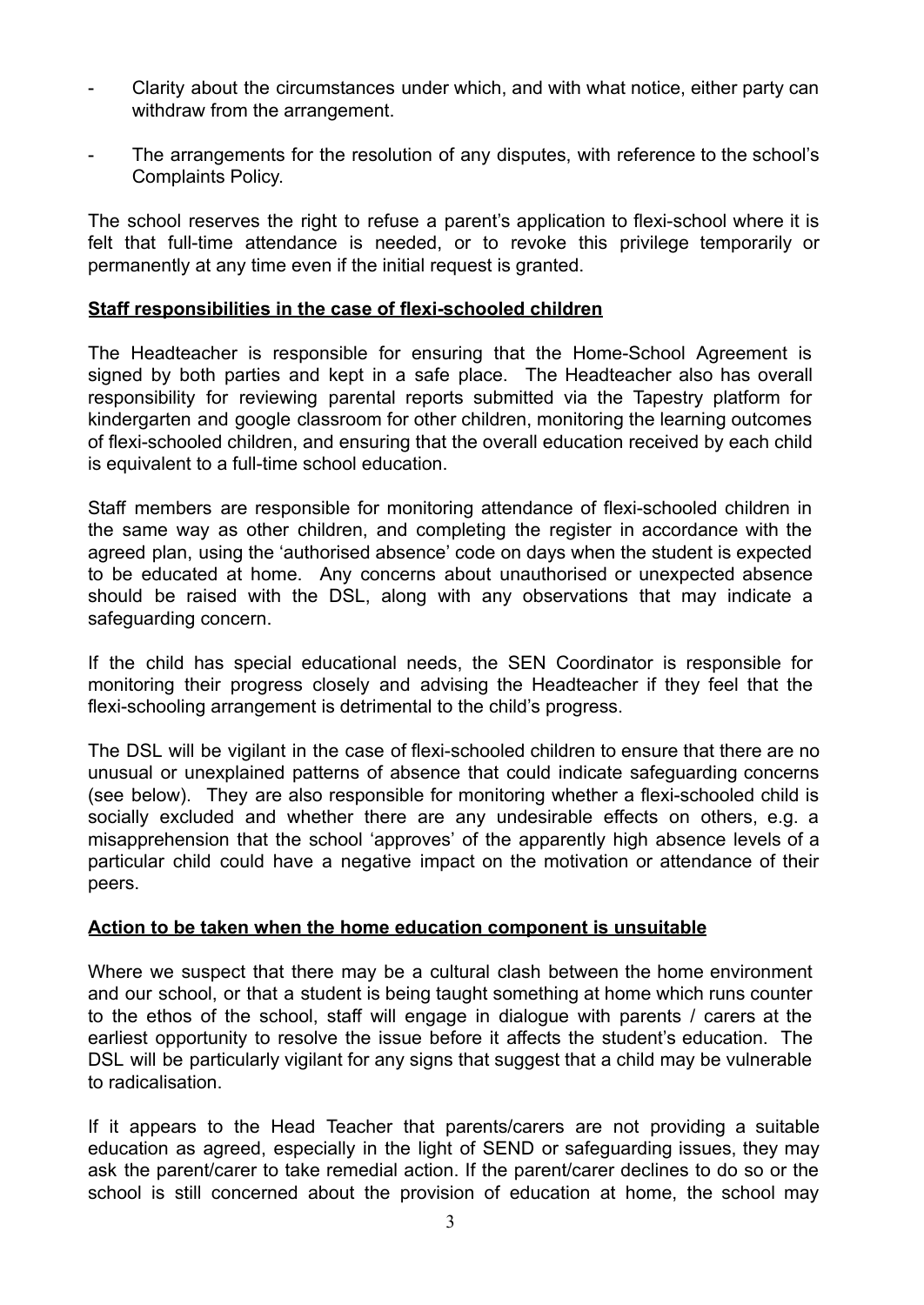- Clarity about the circumstances under which, and with what notice, either party can withdraw from the arrangement.
- The arrangements for the resolution of any disputes, with reference to the school's Complaints Policy.

The school reserves the right to refuse a parent's application to flexi-school where it is felt that full-time attendance is needed, or to revoke this privilege temporarily or permanently at any time even if the initial request is granted.

### **Staff responsibilities in the case of flexi-schooled children**

The Headteacher is responsible for ensuring that the Home-School Agreement is signed by both parties and kept in a safe place. The Headteacher also has overall responsibility for reviewing parental reports submitted via the Tapestry platform for kindergarten and google classroom for other children, monitoring the learning outcomes of flexi-schooled children, and ensuring that the overall education received by each child is equivalent to a full-time school education.

Staff members are responsible for monitoring attendance of flexi-schooled children in the same way as other children, and completing the register in accordance with the agreed plan, using the 'authorised absence' code on days when the student is expected to be educated at home. Any concerns about unauthorised or unexpected absence should be raised with the DSL, along with any observations that may indicate a safeguarding concern.

If the child has special educational needs, the SEN Coordinator is responsible for monitoring their progress closely and advising the Headteacher if they feel that the flexi-schooling arrangement is detrimental to the child's progress.

The DSL will be vigilant in the case of flexi-schooled children to ensure that there are no unusual or unexplained patterns of absence that could indicate safeguarding concerns (see below). They are also responsible for monitoring whether a flexi-schooled child is socially excluded and whether there are any undesirable effects on others, e.g. a misapprehension that the school 'approves' of the apparently high absence levels of a particular child could have a negative impact on the motivation or attendance of their peers.

### **Action to be taken when the home education component is unsuitable**

Where we suspect that there may be a cultural clash between the home environment and our school, or that a student is being taught something at home which runs counter to the ethos of the school, staff will engage in dialogue with parents / carers at the earliest opportunity to resolve the issue before it affects the student's education. The DSL will be particularly vigilant for any signs that suggest that a child may be vulnerable to radicalisation.

If it appears to the Head Teacher that parents/carers are not providing a suitable education as agreed, especially in the light of SEND or safeguarding issues, they may ask the parent/carer to take remedial action. If the parent/carer declines to do so or the school is still concerned about the provision of education at home, the school may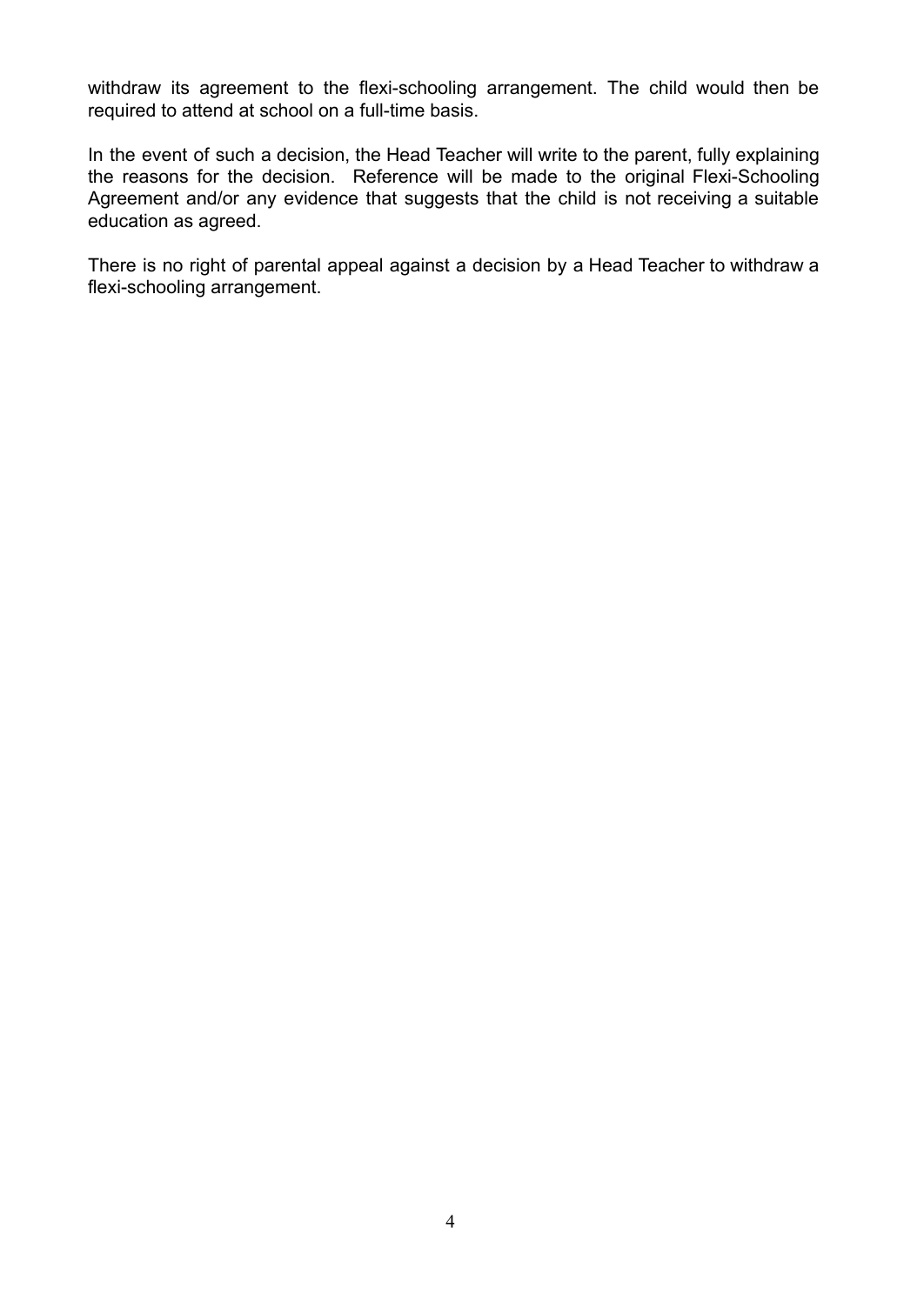withdraw its agreement to the flexi-schooling arrangement. The child would then be required to attend at school on a full-time basis.

In the event of such a decision, the Head Teacher will write to the parent, fully explaining the reasons for the decision. Reference will be made to the original Flexi-Schooling Agreement and/or any evidence that suggests that the child is not receiving a suitable education as agreed.

There is no right of parental appeal against a decision by a Head Teacher to withdraw a flexi-schooling arrangement.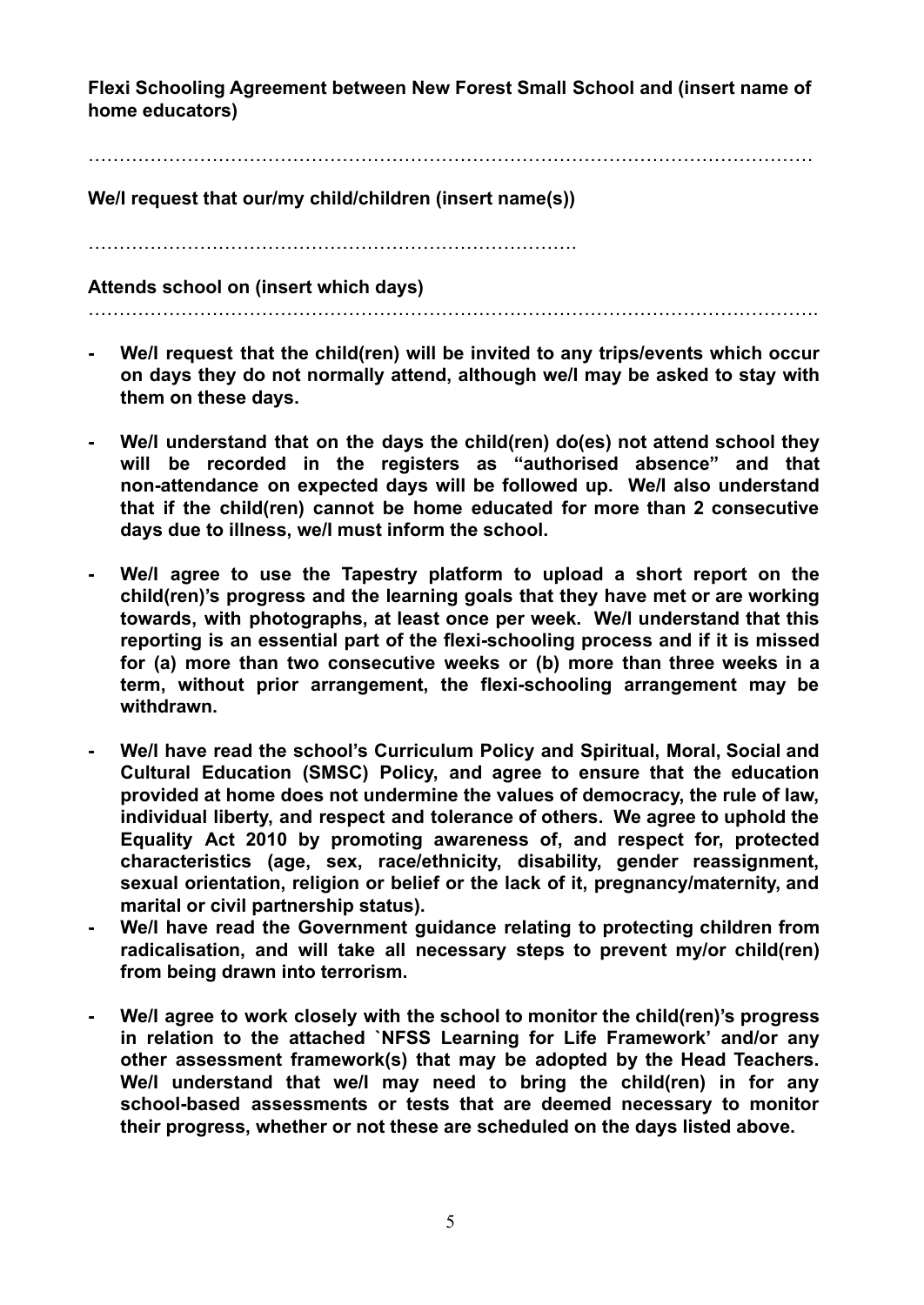**Flexi Schooling Agreement between New Forest Small School and (insert name of home educators)**

………………………………………………………………………………………………………

**We/I request that our/my child/children (insert name(s))**

…………………………………………………………………….

**Attends school on (insert which days)**

……………………………………………………………………………………………………….

- **- We/I request that the child(ren) will be invited to any trips/events which occur on days they do not normally attend, although we/I may be asked to stay with them on these days.**
- **- We/I understand that on the days the child(ren) do(es) not attend school they will be recorded in the registers as "authorised absence" and that non-attendance on expected days will be followed up. We/I also understand that if the child(ren) cannot be home educated for more than 2 consecutive days due to illness, we/I must inform the school.**
- **- We/I agree to use the Tapestry platform to upload a short report on the child(ren)'s progress and the learning goals that they have met or are working towards, with photographs, at least once per week. We/I understand that this reporting is an essential part of the flexi-schooling process and if it is missed for (a) more than two consecutive weeks or (b) more than three weeks in a term, without prior arrangement, the flexi-schooling arrangement may be withdrawn.**
- **- We/I have read the school's Curriculum Policy and Spiritual, Moral, Social and Cultural Education (SMSC) Policy, and agree to ensure that the education provided at home does not undermine the values of democracy, the rule of law, individual liberty, and respect and tolerance of others. We agree to uphold the Equality Act 2010 by promoting awareness of, and respect for, protected characteristics (age, sex, race/ethnicity, disability, gender reassignment, sexual orientation, religion or belief or the lack of it, pregnancy/maternity, and marital or civil partnership status).**
- **- We/I have read the Government guidance relating to protecting children from radicalisation, and will take all necessary steps to prevent my/or child(ren) from being drawn into terrorism.**
- **- We/I agree to work closely with the school to monitor the child(ren)'s progress in relation to the attached `NFSS Learning for Life Framework' and/or any other assessment framework(s) that may be adopted by the Head Teachers. We/I understand that we/I may need to bring the child(ren) in for any school-based assessments or tests that are deemed necessary to monitor their progress, whether or not these are scheduled on the days listed above.**